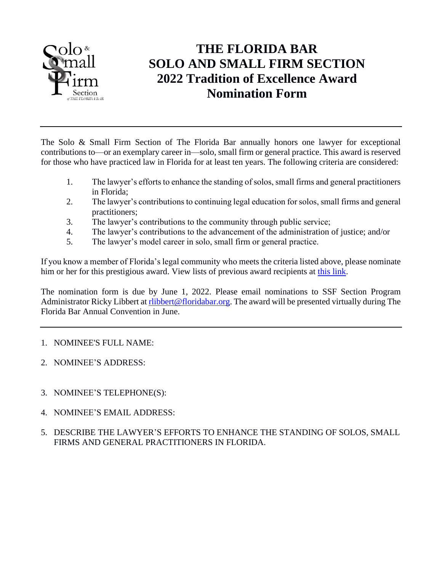

## **THE FLORIDA BAR SOLO AND SMALL FIRM SECTION 2022 Tradition of Excellence Award Nomination Form**

The Solo & Small Firm Section of The Florida Bar annually honors one lawyer for exceptional contributions to—or an exemplary career in—solo, small firm or general practice. This award is reserved for those who have practiced law in Florida for at least ten years. The following criteria are considered:

- 1. The lawyer's efforts to enhance the standing of solos, small firms and general practitioners in Florida;
- 2. The lawyer's contributions to continuing legal education for solos, small firms and general practitioners;
- 3. The lawyer's contributions to the community through public service;
- 4. The lawyer's contributions to the advancement of the administration of justice; and/or
- 5. The lawyer's model career in solo, small firm or general practice.

If you know a member of Florida's legal community who meets the criteria listed above, please nominate him or her for this prestigious award. View lists of previous award recipients at [this link.](http://www.flsolosmallfirm.org/awards-and-history.php)

The nomination form is due by June 1, 2022. Please email nominations to SSF Section Program Administrator Ricky Libbert at [rlibbert@floridabar.org.](mailto:rlibbert@floridabar.org) The award will be presented virtually during The Florida Bar Annual Convention in June.

## 1. NOMINEE'S FULL NAME:

- 2. NOMINEE'S ADDRESS:
- 3. NOMINEE'S TELEPHONE(S):
- 4. NOMINEE'S EMAIL ADDRESS:
- 5. DESCRIBE THE LAWYER'S EFFORTS TO ENHANCE THE STANDING OF SOLOS, SMALL FIRMS AND GENERAL PRACTITIONERS IN FLORIDA.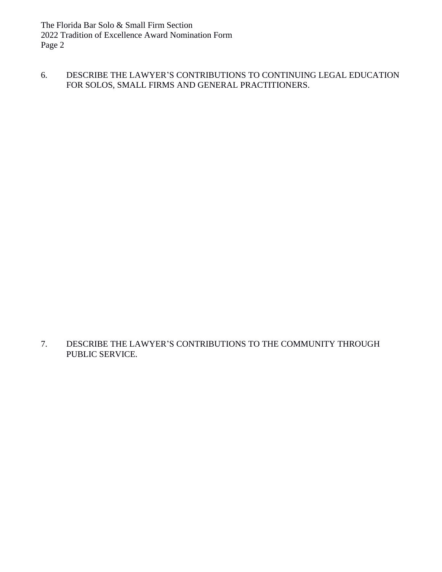The Florida Bar Solo & Small Firm Section 2022 Tradition of Excellence Award Nomination Form Page 2

6. DESCRIBE THE LAWYER'S CONTRIBUTIONS TO CONTINUING LEGAL EDUCATION FOR SOLOS, SMALL FIRMS AND GENERAL PRACTITIONERS.

7. DESCRIBE THE LAWYER'S CONTRIBUTIONS TO THE COMMUNITY THROUGH PUBLIC SERVICE.